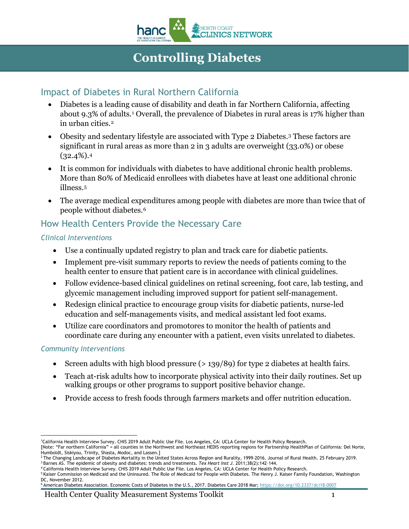

# **Controlling Diabetes**

## Impact of Diabetes in Rural Northern California

- Diabetes is a leading cause of disability and death in far Northern California, affecting about 9.3% of adults.[1](#page-0-0) Overall, the prevalence of Diabetes in rural areas is 17% higher than in urban cities.[2](#page-0-1)
- Obesity and sedentary lifestyle are associated with Type 2 Diabetes.[3](#page-0-2) These factors are significant in rural areas as more than 2 in 3 adults are overweight (33.0%) or obese  $(32.4\%)$  $(32.4\%)$  $(32.4\%)$ .4
- It is common for individuals with diabetes to have additional chronic health problems. More than 80% of Medicaid enrollees with diabetes have at least one additional chronic illness.[5](#page-0-4)
- The average medical expenditures among people with diabetes are more than twice that of people without diabetes[.6](#page-0-5)

# How Health Centers Provide the Necessary Care

#### *Clinical Interventions*

- Use a continually updated registry to plan and track care for diabetic patients.
- Implement pre-visit summary reports to review the needs of patients coming to the health center to ensure that patient care is in accordance with clinical guidelines.
- Follow evidence-based clinical guidelines on retinal screening, foot care, lab testing, and glycemic management including improved support for patient self-management.
- Redesign clinical practice to encourage group visits for diabetic patients, nurse-led education and self-managements visits, and medical assistant led foot exams.
- Utilize care coordinators and promotores to monitor the health of patients and coordinate care during any encounter with a patient, even visits unrelated to diabetes.

#### *Community Interventions*

- Screen adults with high blood pressure  $(> 139/89)$  for type 2 diabetes at health fairs.
- Teach at-risk adults how to incorporate physical activity into their daily routines. Set up walking groups or other programs to support positive behavior change.
- Provide access to fresh foods through farmers markets and offer nutrition education.

 1 California Health Interview Survey. CHIS 2019 Adult Public Use File. Los Angeles, CA: UCLA Center for Health Policy Research.

<span id="page-0-0"></span><sup>[</sup>Note: "Far northern California" = all counties in the Northwest and Northeast HEDIS reporting regions for Partnership HealthPlan of California: Del Norte, Humboldt, Siskiyou, Trinity, Shasta, Modoc, and Lassen.]<br><sup>2</sup> The Changing Landscape of Diabetes Mortality in the United States Across Region and Rurality, 1999-2016. Journal of Rural Health. 25 February 2019.

<span id="page-0-2"></span><span id="page-0-1"></span><sup>3</sup> Barnes AS. The epidemic of obesity and diabetes: trends and treatments. *Tex Heart Inst J*. 2011;38(2):142–144.

<span id="page-0-3"></span><sup>4</sup> California Health Interview Survey. CHIS 2019 Adult Public Use File. Los Angeles, CA: UCLA Center for Health Policy Research.

<span id="page-0-4"></span><sup>&</sup>lt;sup>5</sup> Kaiser Commission on Medicaid and the Uninsured. The Role of Medicaid for People with Diabetes. The Henry J. Kaiser Family Foundation, Washington DC, November 2012.

<span id="page-0-5"></span><sup>6</sup> American Diabetes Association. Economic Costs of Diabetes in the U.S., 2017. Diabetes Care 2018 Mar; <https://doi.org/10.2337/dci18-0007>